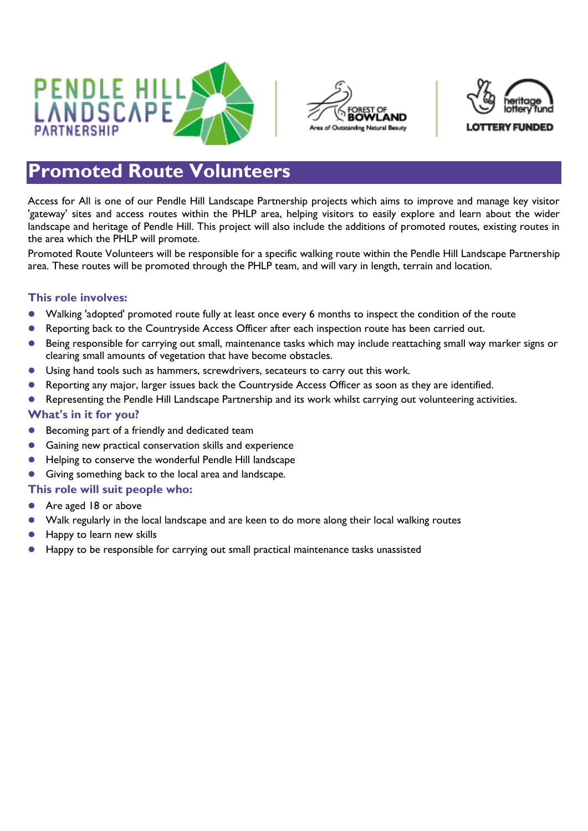





## **Promoted Route Volunteers**

Access for All is one of our Pendle Hill Landscape Partnership projects which aims to improve and manage key visitor 'gateway' sites and access routes within the PHLP area, helping visitors to easily explore and learn about the wider landscape and heritage of Pendle Hill. This project will also include the additions of promoted routes, existing routes in the area which the PHLP will promote.

Promoted Route Volunteers will be responsible for a specific walking route within the Pendle Hill Landscape Partnership area. These routes will be promoted through the PHLP team, and will vary in length, terrain and location.

## **This role involves:**

- Walking 'adopted' promoted route fully at least once every 6 months to inspect the condition of the route
- Reporting back to the Countryside Access Officer after each inspection route has been carried out.
- Being responsible for carrying out small, maintenance tasks which may include reattaching small way marker signs or clearing small amounts of vegetation that have become obstacles.
- Using hand tools such as hammers, screwdrivers, secateurs to carry out this work.
- Reporting any major, larger issues back the Countryside Access Officer as soon as they are identified.
- Representing the Pendle Hill Landscape Partnership and its work whilst carrying out volunteering activities.

## **What's in it for you?**

- **Becoming part of a friendly and dedicated team**
- Gaining new practical conservation skills and experience
- Helping to conserve the wonderful Pendle Hill landscape
- Giving something back to the local area and landscape.

## **This role will suit people who:**

- Are aged 18 or above
- Walk regularly in the local landscape and are keen to do more along their local walking routes
- Happy to learn new skills
- Happy to be responsible for carrying out small practical maintenance tasks unassisted